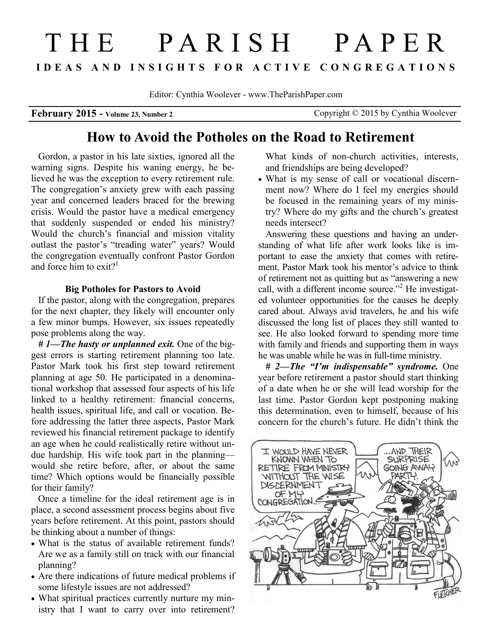# T H E P A R I S H P A P E R **I D E A S A N D I N S I G H T S F O R A C T I V E C O N G R E G A T I O N S**

Editor: Cynthia Woolever - www.TheParishPaper.com

**February 2015 - Volume 23, Number 2** Copyright © 2015 by Cynthia Woolever

# **How to Avoid the Potholes on the Road to Retirement**

Gordon, a pastor in his late sixties, ignored all the warning signs. Despite his waning energy, he believed he was the exception to every retirement rule. The congregation's anxiety grew with each passing year and concerned leaders braced for the brewing crisis. Would the pastor have a medical emergency that suddenly suspended or ended his ministry? Would the church's financial and mission vitality outlast the pastor's "treading water" years? Would the congregation eventually confront Pastor Gordon and force him to exit?<sup>1</sup>

### **Big Potholes for Pastors to Avoid**

If the pastor, along with the congregation, prepares for the next chapter, they likely will encounter only a few minor bumps. However, six issues repeatedly pose problems along the way.

*# 1—The hasty or unplanned exit.* One of the biggest errors is starting retirement planning too late. Pastor Mark took his first step toward retirement planning at age 50. He participated in a denominational workshop that assessed four aspects of his life linked to a healthy retirement: financial concerns, health issues, spiritual life, and call or vocation. Before addressing the latter three aspects, Pastor Mark reviewed his financial retirement package to identify an age when he could realistically retire without undue hardship. His wife took part in the planning would she retire before, after, or about the same time? Which options would be financially possible for their family?

Once a timeline for the ideal retirement age is in place, a second assessment process begins about five years before retirement. At this point, pastors should be thinking about a number of things:

- What is the status of available retirement funds? Are we as a family still on track with our financial planning?
- Are there indications of future medical problems if some lifestyle issues are not addressed?
- What spiritual practices currently nurture my ministry that I want to carry over into retirement?

What kinds of non-church activities, interests, and friendships are being developed?

 What is my sense of call or vocational discernment now? Where do I feel my energies should be focused in the remaining years of my ministry? Where do my gifts and the church's greatest needs intersect?

Answering these questions and having an understanding of what life after work looks like is important to ease the anxiety that comes with retirement. Pastor Mark took his mentor's advice to think of retirement not as quitting but as "answering a new call, with a different income source."<sup>2</sup> He investigated volunteer opportunities for the causes he deeply cared about. Always avid travelers, he and his wife discussed the long list of places they still wanted to see. He also looked forward to spending more time with family and friends and supporting them in ways he was unable while he was in full-time ministry.

*# 2—The "I'm indispensable" syndrome.* One year before retirement a pastor should start thinking of a date when he or she will lead worship for the last time. Pastor Gordon kept postponing making this determination, even to himself, because of his concern for the church's future. He didn't think the